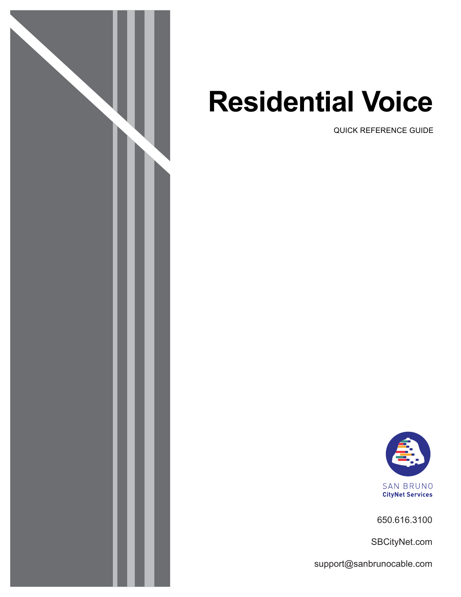

# **Residential Voice**

QUICK REFERENCE GUIDE



650.616.3100

SBCityNet.com

support@sanbrunocable.com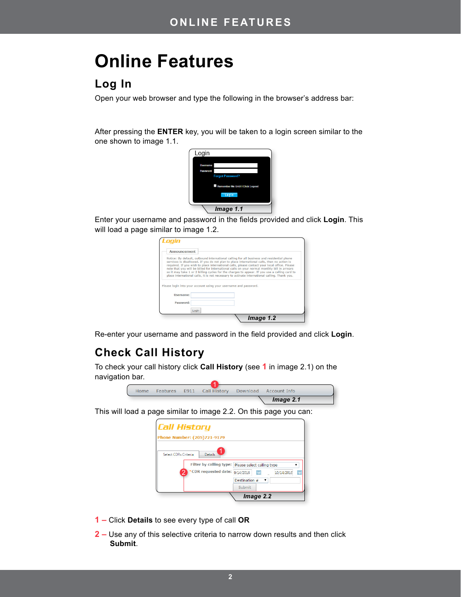# **Online Features**

# **Log In**

Open your web browser and type the following in the browser's address bar:

After pressing the **ENTER** key, you will be taken to a login screen similar to the one shown to image 1.1.



Enter your username and password in the fields provided and click Login. This will load a page similar to image 1.2.

| Announcement |                                                                                                                                                                                                                                                                                                                                                                                                                                                                                                                                                                                        |
|--------------|----------------------------------------------------------------------------------------------------------------------------------------------------------------------------------------------------------------------------------------------------------------------------------------------------------------------------------------------------------------------------------------------------------------------------------------------------------------------------------------------------------------------------------------------------------------------------------------|
|              | Notice: By default, outbound international calling for all business and residential phone<br>services is disallowed. If you do not plan to place international calls, then no action is<br>required. If you wish to place international calls, please contact your local office. Please<br>note that you will be billed for international calls on your normal monthly bill in arrears<br>so it may take 1 or 2 billing cycles for the charges to appear. If you use a calling card to<br>place international calls, it is not necessary to activate international calling. Thank you. |
|              |                                                                                                                                                                                                                                                                                                                                                                                                                                                                                                                                                                                        |
|              | Please login into your account using your username and password.                                                                                                                                                                                                                                                                                                                                                                                                                                                                                                                       |
| Username:    |                                                                                                                                                                                                                                                                                                                                                                                                                                                                                                                                                                                        |
| Password:    |                                                                                                                                                                                                                                                                                                                                                                                                                                                                                                                                                                                        |
|              | Login                                                                                                                                                                                                                                                                                                                                                                                                                                                                                                                                                                                  |

Re-enter your username and password in the field provided and click Login.

# **Check Call History**

To check your call history click **Call History** (see **1** in image 2.1) on the navigation bar.



This will load a page similar to image 2.2. On this page you can:

| <b>Call History</b>                                                                                 |                                                                                           |
|-----------------------------------------------------------------------------------------------------|-------------------------------------------------------------------------------------------|
| Phone Number: (205)721-9179<br>Select CDRs Criteria<br><b>Details</b><br><b>CDR</b> requested date: | Filter by calling type:   Please select calling type<br>9/14/2016<br>圜<br>圃<br>10/14/2016 |
|                                                                                                     | Destination #<br>▼<br>Submit<br>Image 2.2                                                 |

- **1 –** Click **Details** to see every type of call **OR**
- **2 –** Use any of this selective criteria to narrow down results and then click **Submit**.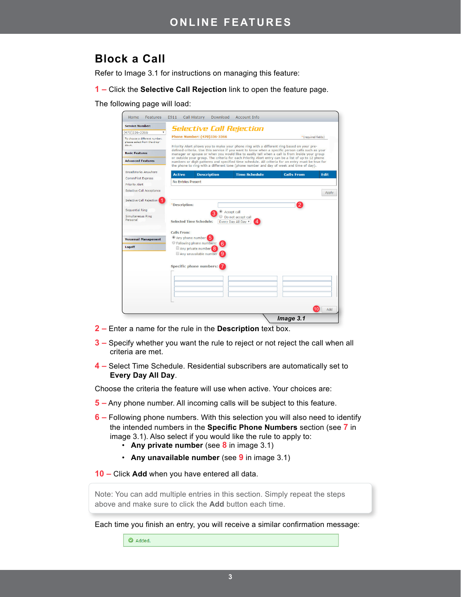# **Block a Call**

Refer to Image 3.1 for instructions on managing this feature:

**1 –** Click the **Selective Call Rejection** link to open the feature page.

The following page will load:

| <b>Service Number:</b>                              |                                                   |                                  |                                                                                                                                                                                                                                                                                                   |                   |              |
|-----------------------------------------------------|---------------------------------------------------|----------------------------------|---------------------------------------------------------------------------------------------------------------------------------------------------------------------------------------------------------------------------------------------------------------------------------------------------|-------------------|--------------|
| (470)336-3366<br>v                                  |                                                   |                                  | <b>Selective Call Rejection</b>                                                                                                                                                                                                                                                                   |                   |              |
| To choose a different number,                       | Phone Number: (470)336-3366<br>*(required fields) |                                  |                                                                                                                                                                                                                                                                                                   |                   |              |
| please select from the drop-<br>down.               |                                                   |                                  | Priority Alert allows you to make your phone ring with a different ring based on your pre-<br>defined criteria. Use this service if you want to know when a specific person calls such as your                                                                                                    |                   |              |
| <b>Basic Features</b>                               |                                                   |                                  | manager or spouse or when you would like to easily tell when a call is from inside your group                                                                                                                                                                                                     |                   |              |
| <b>Advanced Features</b>                            |                                                   |                                  | or outside your group. The criteria for each Priority Alert entry can be a list of up to 12 phone<br>numbers or digit patterns and specified time schedule. All criteria for an entry must be true for<br>the phone to ring with a different tone (phone number and day of week and time of day). |                   |              |
| <b>BroadWorks Anvwhere</b>                          | <b>Active</b>                                     | <b>Description</b>               | <b>Time Schedule</b>                                                                                                                                                                                                                                                                              | <b>Calls From</b> | <b>Edit</b>  |
| <b>CommPilot Express</b>                            | No Entries Present                                |                                  |                                                                                                                                                                                                                                                                                                   |                   |              |
| <b>Priority Alert</b>                               |                                                   |                                  |                                                                                                                                                                                                                                                                                                   |                   |              |
| Selective Call Acceptance                           |                                                   |                                  |                                                                                                                                                                                                                                                                                                   |                   | <b>Apply</b> |
| Selective Call Rejection                            |                                                   |                                  |                                                                                                                                                                                                                                                                                                   |                   |              |
|                                                     | *Description:                                     |                                  |                                                                                                                                                                                                                                                                                                   | $\overline{2}$    |              |
| <b>Sequential Ring</b>                              |                                                   |                                  | Accept call                                                                                                                                                                                                                                                                                       |                   |              |
| Simultaneous Ring<br>Do not accept call<br>Personal |                                                   |                                  |                                                                                                                                                                                                                                                                                                   |                   |              |
|                                                     |                                                   | <b>Selected Time Schedule:</b>   | Every Day All Day ▼                                                                                                                                                                                                                                                                               |                   |              |
|                                                     | <b>Calls From:</b>                                |                                  |                                                                                                                                                                                                                                                                                                   |                   |              |
| <b>Voicemail Management</b>                         |                                                   | Any phone number                 |                                                                                                                                                                                                                                                                                                   |                   |              |
|                                                     |                                                   | C Following phone numbers:<br>61 |                                                                                                                                                                                                                                                                                                   |                   |              |
| Logoff                                              |                                                   | Any private number               |                                                                                                                                                                                                                                                                                                   |                   |              |
|                                                     |                                                   | Any unavailable number<br>۵ )    |                                                                                                                                                                                                                                                                                                   |                   |              |
|                                                     |                                                   |                                  |                                                                                                                                                                                                                                                                                                   |                   |              |
|                                                     |                                                   | Specific phone numbers:          |                                                                                                                                                                                                                                                                                                   |                   |              |
|                                                     |                                                   |                                  |                                                                                                                                                                                                                                                                                                   |                   |              |
|                                                     |                                                   |                                  |                                                                                                                                                                                                                                                                                                   |                   |              |
|                                                     |                                                   |                                  |                                                                                                                                                                                                                                                                                                   |                   |              |
|                                                     |                                                   |                                  |                                                                                                                                                                                                                                                                                                   |                   |              |
|                                                     |                                                   |                                  |                                                                                                                                                                                                                                                                                                   |                   |              |
|                                                     |                                                   |                                  |                                                                                                                                                                                                                                                                                                   |                   |              |
|                                                     |                                                   |                                  |                                                                                                                                                                                                                                                                                                   |                   |              |

- **2 –** Enter a name for the rule in the **Description** text box.
- **3 –** Specify whether you want the rule to reject or not reject the call when all criteria are met.
- **4 –** Select Time Schedule. Residential subscribers are automatically set to **Every Day All Day**.

Choose the criteria the feature will use when active. Your choices are:

- **5 –** Any phone number. All incoming calls will be subject to this feature.
- **6 –** Following phone numbers. With this selection you will also need to identify the intended numbers in the **Specific Phone Numbers** section (see **7** in image 3.1). Also select if you would like the rule to apply to:
	- **Any private number** (see **8** in image 3.1)
	- **Any unavailable number** (see **9** in image 3.1)
- **10 –** Click **Add** when you have entered all data.

Note: You can add multiple entries in this section. Simply repeat the steps above and make sure to click the **Add** button each time.

Each time you finish an entry, you will receive a similar confirmation message:

Added.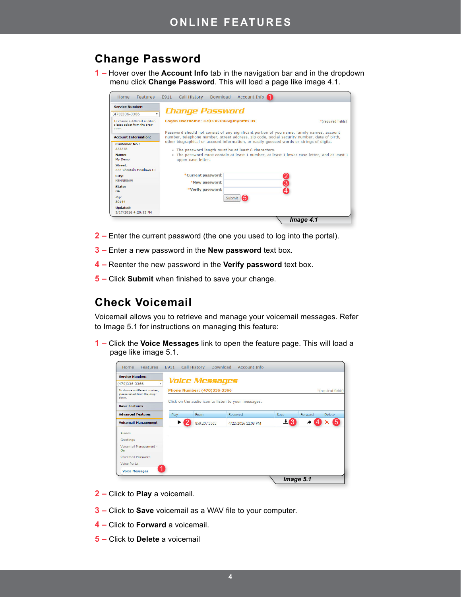# **Change Password**

**1 –** Hover over the **Account Info** tab in the navigation bar and in the dropdown menu click **Change Password**. This will load a page like image 4.1.

| <b>Service Number:</b>                                                 |                                                                                                                                                                                                                                                 |                    |
|------------------------------------------------------------------------|-------------------------------------------------------------------------------------------------------------------------------------------------------------------------------------------------------------------------------------------------|--------------------|
| (470)336-3366                                                          | <b>Change Password</b>                                                                                                                                                                                                                          |                    |
| To choose a different number.<br>please select from the drop-<br>down. | Logon username: 4703363366@mymtm.us                                                                                                                                                                                                             | *(required fields) |
| <b>Account Information:</b>                                            | Password should not consist of any significant portion of you name, family names, account<br>number, telephone number, street address, zip code, social security number, date of birth,                                                         |                    |
| <b>Customer No.:</b><br>323278<br>Name:<br>My Demo                     | other biographical or account information, or easily quessed words or strings of digits.<br>. The password length must be at least 6 characters.<br>. The password must contain at least 1 number, at least 1 lower case letter, and at least 1 |                    |
| Street:<br>222 Chastain Meadows CT                                     | upper case letter.                                                                                                                                                                                                                              |                    |
| City:<br><b>KENNESAW</b>                                               | *Current password:<br>* New password:                                                                                                                                                                                                           |                    |
| State:<br><b>GA</b>                                                    | *Verify password:                                                                                                                                                                                                                               | 2<br>3<br>4        |
| Zip:<br>30144                                                          | Submit                                                                                                                                                                                                                                          |                    |
| <b>Updated:</b><br>5/17/2016 4:20:53 PM                                |                                                                                                                                                                                                                                                 |                    |

- **2 –** Enter the current password (the one you used to log into the portal).
- **3** Enter a new password in the **New password** text box.
- **4** Reenter the new password in the **Verify password** text box.
- **5** Click **Submit** when finished to save your change.

# **Check Voicemail**

Voicemail allows you to retrieve and manage your voicemail messages. Refer to Image 5.1 for instructions on managing this feature:

**1** – Click the Voice Messages link to open the feature page. This will load a page like image 5.1.

| <b>Service Number:</b>                     |                             |                       |                                                     |        |                    |        |  |
|--------------------------------------------|-----------------------------|-----------------------|-----------------------------------------------------|--------|--------------------|--------|--|
| (470)336-3366<br>$\boldsymbol{\mathrm{v}}$ |                             | <b>Voice Messages</b> |                                                     |        |                    |        |  |
| To choose a different number,              | Phone Number: (470)336-3366 |                       |                                                     |        | *(required fields) |        |  |
| please select from the drop-<br>down.      |                             |                       |                                                     |        |                    |        |  |
| <b>Basic Features</b>                      |                             |                       | Click on the audio icon to listen to your messages. |        |                    |        |  |
| <b>Advanced Features</b>                   | Play                        | From                  | Received                                            | Save   | Forward            | Delete |  |
| <b>Voicemail Management</b>                |                             | 859.207.5565          | 4/22/2016 12:03 PM                                  | 3<br>∸ | ◆ 1                | 5      |  |
| Aliases                                    |                             |                       |                                                     |        |                    |        |  |
| Greetings                                  |                             |                       |                                                     |        |                    |        |  |
| Voicemail Management -<br>On               |                             |                       |                                                     |        |                    |        |  |
| <b>Voicemail Password</b>                  |                             |                       |                                                     |        |                    |        |  |
|                                            |                             |                       |                                                     |        |                    |        |  |
| <b>Voice Portal</b>                        |                             |                       |                                                     |        |                    |        |  |

- **2** Click to **Play** a voicemail.
- **3** Click to **Save** voicemail as a WAV file to your computer.
- **4 –** Click to **Forward** a voicemail.
- **5** Click to **Delete** a voicemail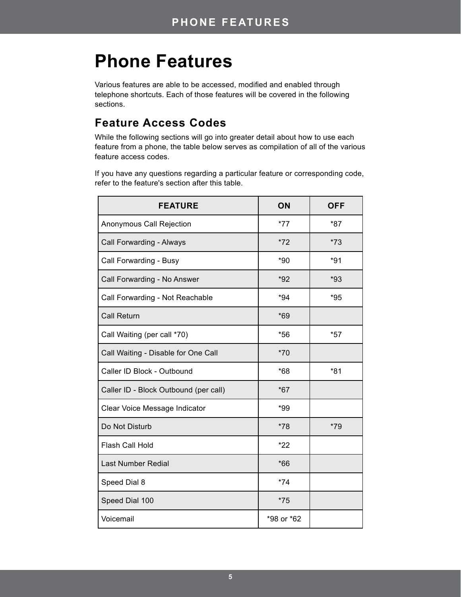# **Phone Features**

Various features are able to be accessed, modified and enabled through telephone shortcuts. Each of those features will be covered in the following sections.

# **Feature Access Codes**

While the following sections will go into greater detail about how to use each feature from a phone, the table below serves as compilation of all of the various feature access codes.

If you have any questions regarding a particular feature or corresponding code, refer to the feature's section after this table.

| <b>FEATURE</b>                        | ON         | <b>OFF</b> |
|---------------------------------------|------------|------------|
| Anonymous Call Rejection              | $*77$      | *87        |
| Call Forwarding - Always              | $*72$      | $*73$      |
| Call Forwarding - Busy                | $*90$      | $*91$      |
| Call Forwarding - No Answer           | $*92$      | $*93$      |
| Call Forwarding - Not Reachable       | $*94$      | $*95$      |
| <b>Call Return</b>                    | $*69$      |            |
| Call Waiting (per call *70)           | $*56$      | $*57$      |
| Call Waiting - Disable for One Call   | $*70$      |            |
| Caller ID Block - Outbound            | $*68$      | $*81$      |
| Caller ID - Block Outbound (per call) | $*67$      |            |
| Clear Voice Message Indicator         | *99        |            |
| Do Not Disturb                        | $*78$      | $*79$      |
| Flash Call Hold                       | $*22$      |            |
| <b>Last Number Redial</b>             | $*66$      |            |
| Speed Dial 8                          | $*74$      |            |
| Speed Dial 100                        | $*75$      |            |
| Voicemail                             | *98 or *62 |            |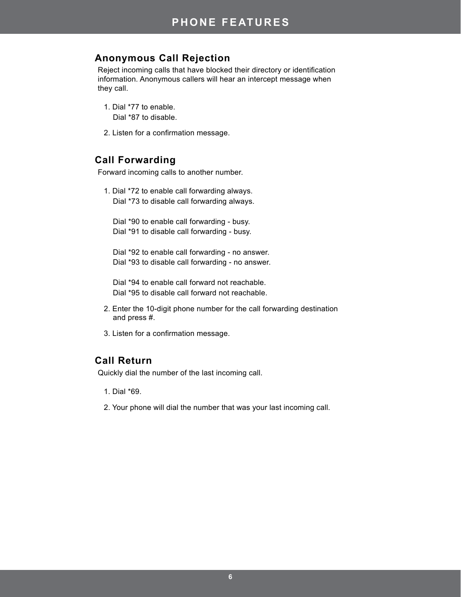# **Anonymous Call Rejection**

Reject incoming calls that have blocked their directory or identification information. Anonymous callers will hear an intercept message when they call.

- 1. Dial \*77 to enable. Dial \*87 to disable.
- 2. Listen for a confirmation message.

#### **Call Forwarding**

Forward incoming calls to another number.

1. Dial \*72 to enable call forwarding always. Dial \*73 to disable call forwarding always.

Dial \*90 to enable call forwarding - busy. Dial \*91 to disable call forwarding - busy.

Dial \*92 to enable call forwarding - no answer. Dial \*93 to disable call forwarding - no answer.

Dial \*94 to enable call forward not reachable. Dial \*95 to disable call forward not reachable.

- 2. Enter the 10-digit phone number for the call forwarding destination and press #.
- 3. Listen for a confirmation message.

#### **Call Return**

Quickly dial the number of the last incoming call.

- 1. Dial \*69.
- 2. Your phone will dial the number that was your last incoming call.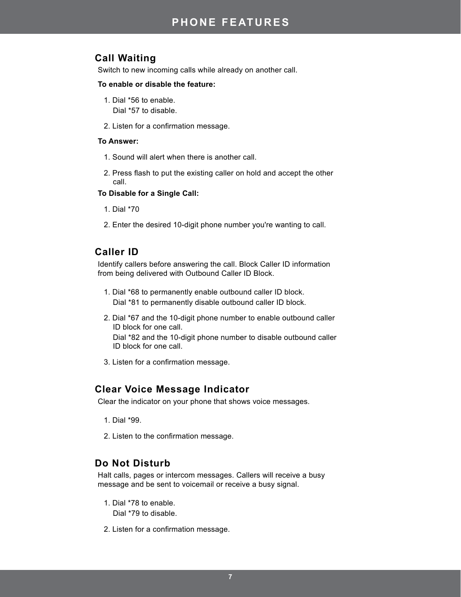# **Call Waiting**

Switch to new incoming calls while already on another call.

#### **To enable or disable the feature:**

- 1. Dial \*56 to enable. Dial \*57 to disable.
- 2. Listen for a confirmation message.

#### **To Answer:**

- 1. Sound will alert when there is another call.
- 2. Press flash to put the existing caller on hold and accept the other call.

#### **To Disable for a Single Call:**

- 1. Dial \*70
- 2. Enter the desired 10-digit phone number you're wanting to call.

# **Caller ID**

Identify callers before answering the call. Block Caller ID information from being delivered with Outbound Caller ID Block.

- 1. Dial \*68 to permanently enable outbound caller ID block. Dial \*81 to permanently disable outbound caller ID block.
- 2. Dial \*67 and the 10-digit phone number to enable outbound caller ID block for one call. Dial \*82 and the 10-digit phone number to disable outbound caller ID block for one call.
- 3. Listen for a confirmation message.

#### **Clear Voice Message Indicator**

Clear the indicator on your phone that shows voice messages.

- 1. Dial \*99.
- 2. Listen to the confirmation message.

#### **Do Not Disturb**

Halt calls, pages or intercom messages. Callers will receive a busy message and be sent to voicemail or receive a busy signal.

- 1. Dial \*78 to enable. Dial \*79 to disable.
- 2. Listen for a confirmation message.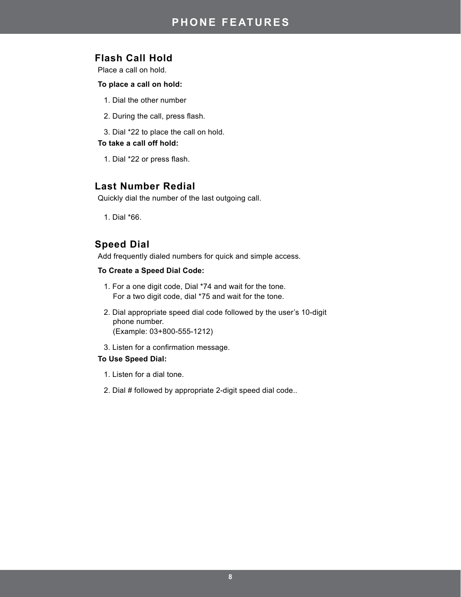# **Flash Call Hold**

Place a call on hold.

#### **To place a call on hold:**

- 1. Dial the other number
- 2. During the call, press flash.
- 3. Dial \*22 to place the call on hold.

#### **To take a call off hold:**

1. Dial \*22 or press flash.

#### **Last Number Redial**

Quickly dial the number of the last outgoing call.

1. Dial \*66.

#### **Speed Dial**

Add frequently dialed numbers for quick and simple access.

#### **To Create a Speed Dial Code:**

- 1. For a one digit code, Dial \*74 and wait for the tone. For a two digit code, dial \*75 and wait for the tone.
- 2. Dial appropriate speed dial code followed by the user's 10-digit phone number. (Example: 03+800-555-1212)
- 3. Listen for a confirmation message.

#### **To Use Speed Dial:**

- 1. Listen for a dial tone.
- 2. Dial # followed by appropriate 2-digit speed dial code..